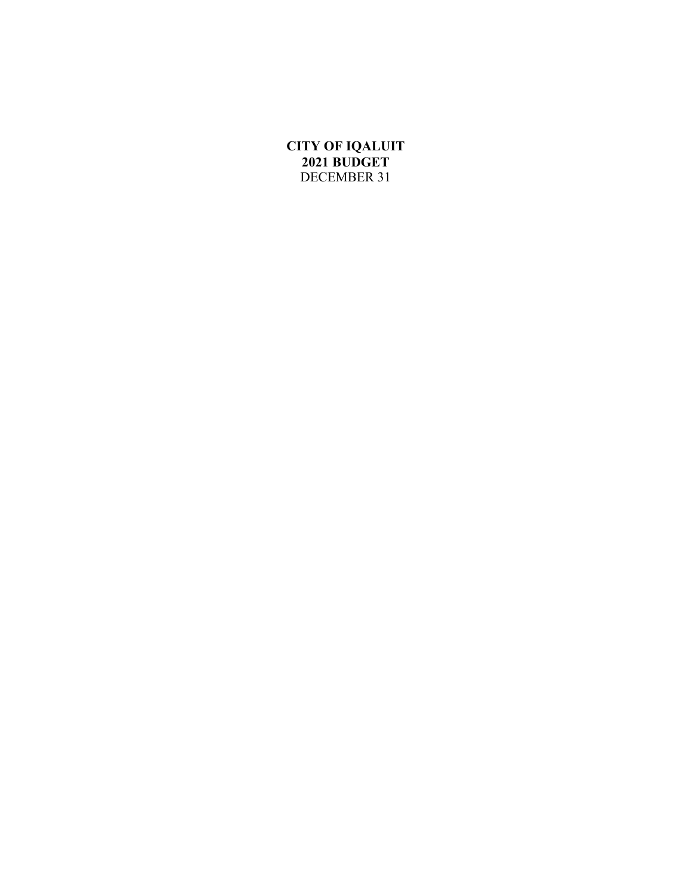# **CITY OF IQALUIT 2021 BUDGET** DECEMBER 31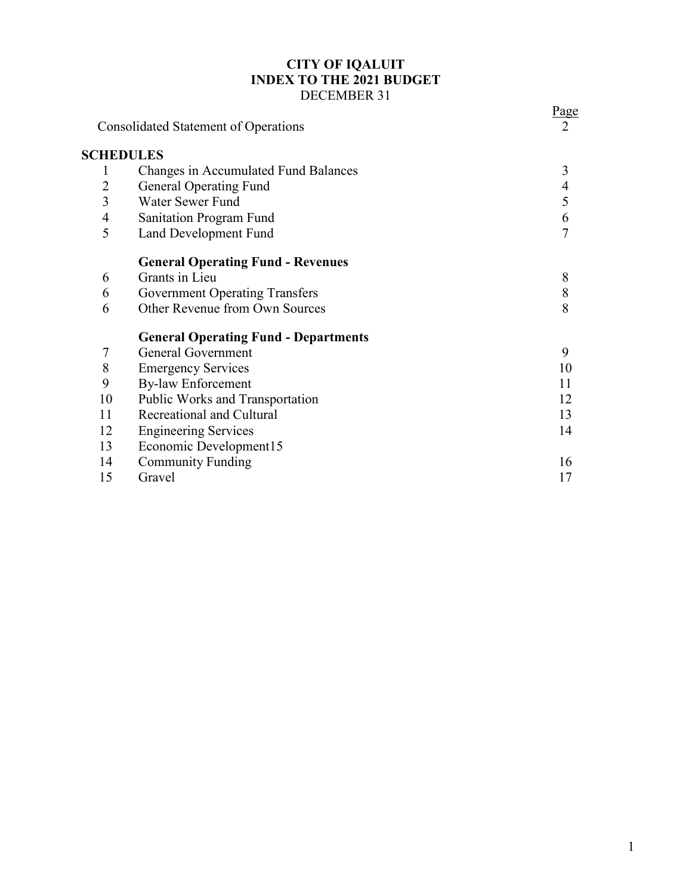# **CITY OF IQALUIT INDEX TO THE 2021 BUDGET** DECEMBER 31

|                | <b>Consolidated Statement of Operations</b> | Page<br>$\overline{2}$ |
|----------------|---------------------------------------------|------------------------|
|                | <b>SCHEDULES</b>                            |                        |
| $\mathbf{I}$   | Changes in Accumulated Fund Balances        | 3                      |
| $\overline{2}$ | <b>General Operating Fund</b>               | 4                      |
| 3              | Water Sewer Fund                            | 5                      |
| $\overline{4}$ | <b>Sanitation Program Fund</b>              | 6                      |
| 5              | Land Development Fund                       | $\overline{7}$         |
|                | <b>General Operating Fund - Revenues</b>    |                        |
| 6              | Grants in Lieu                              | 8                      |
| 6              | <b>Government Operating Transfers</b>       | $\,$ $\,$              |
| 6              | Other Revenue from Own Sources              | 8                      |
|                | <b>General Operating Fund - Departments</b> |                        |
| 7              | <b>General Government</b>                   | 9                      |
| 8              | <b>Emergency Services</b>                   | 10                     |
| 9              | <b>By-law Enforcement</b>                   | 11                     |
| 10             | Public Works and Transportation             | 12                     |
| 11             | Recreational and Cultural                   | 13                     |
| 12             | <b>Engineering Services</b>                 | 14                     |
| 13             | Economic Development15                      |                        |
| 14             | <b>Community Funding</b>                    | 16                     |
| 15             | Gravel                                      | 17                     |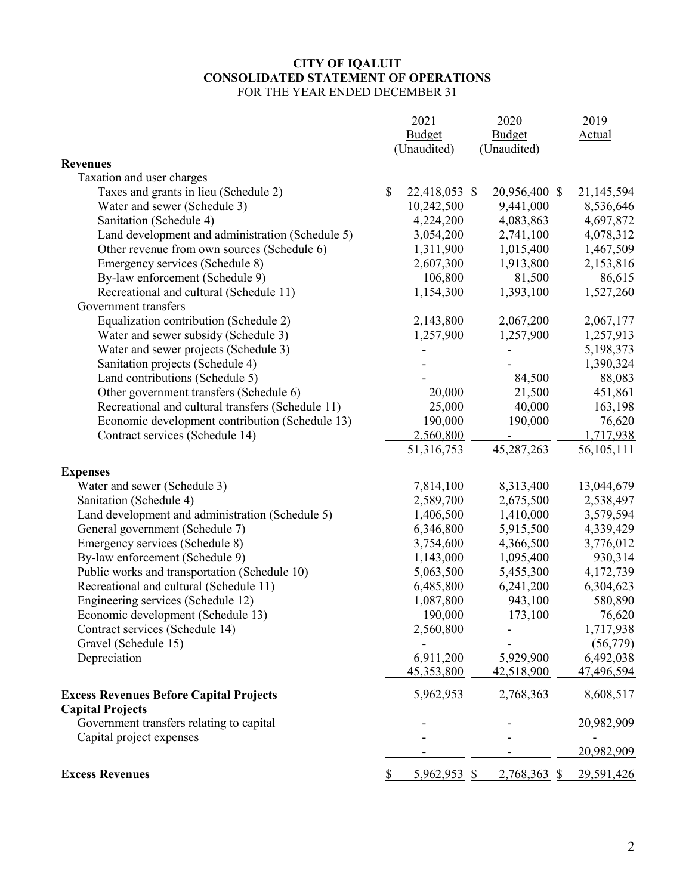### **CITY OF IQALUIT CONSOLIDATED STATEMENT OF OPERATIONS** FOR THE YEAR ENDED DECEMBER 31

|                                                   | 2021                | 2020          | 2019          |
|---------------------------------------------------|---------------------|---------------|---------------|
|                                                   | <b>Budget</b>       | <b>Budget</b> | <b>Actual</b> |
|                                                   | (Unaudited)         | (Unaudited)   |               |
| <b>Revenues</b>                                   |                     |               |               |
| Taxation and user charges                         |                     |               |               |
| Taxes and grants in lieu (Schedule 2)             | \$<br>22,418,053 \$ | 20,956,400 \$ | 21,145,594    |
| Water and sewer (Schedule 3)                      | 10,242,500          | 9,441,000     | 8,536,646     |
| Sanitation (Schedule 4)                           | 4,224,200           | 4,083,863     | 4,697,872     |
| Land development and administration (Schedule 5)  | 3,054,200           | 2,741,100     | 4,078,312     |
| Other revenue from own sources (Schedule 6)       | 1,311,900           | 1,015,400     | 1,467,509     |
| Emergency services (Schedule 8)                   | 2,607,300           | 1,913,800     | 2,153,816     |
| By-law enforcement (Schedule 9)                   | 106,800             | 81,500        | 86,615        |
| Recreational and cultural (Schedule 11)           | 1,154,300           | 1,393,100     | 1,527,260     |
| Government transfers                              |                     |               |               |
| Equalization contribution (Schedule 2)            | 2,143,800           | 2,067,200     | 2,067,177     |
| Water and sewer subsidy (Schedule 3)              | 1,257,900           | 1,257,900     | 1,257,913     |
| Water and sewer projects (Schedule 3)             |                     |               | 5,198,373     |
| Sanitation projects (Schedule 4)                  |                     |               | 1,390,324     |
| Land contributions (Schedule 5)                   |                     | 84,500        | 88,083        |
| Other government transfers (Schedule 6)           | 20,000              | 21,500        | 451,861       |
| Recreational and cultural transfers (Schedule 11) | 25,000              | 40,000        | 163,198       |
| Economic development contribution (Schedule 13)   | 190,000             | 190,000       | 76,620        |
| Contract services (Schedule 14)                   | 2,560,800           |               | 1,717,938     |
|                                                   | 51,316,753          | 45,287,263    | 56,105,111    |
|                                                   |                     |               |               |
| <b>Expenses</b>                                   |                     |               |               |
| Water and sewer (Schedule 3)                      | 7,814,100           | 8,313,400     | 13,044,679    |
| Sanitation (Schedule 4)                           | 2,589,700           | 2,675,500     | 2,538,497     |
| Land development and administration (Schedule 5)  | 1,406,500           | 1,410,000     | 3,579,594     |
| General government (Schedule 7)                   | 6,346,800           | 5,915,500     | 4,339,429     |
| Emergency services (Schedule 8)                   | 3,754,600           | 4,366,500     | 3,776,012     |
| By-law enforcement (Schedule 9)                   | 1,143,000           | 1,095,400     | 930,314       |
| Public works and transportation (Schedule 10)     | 5,063,500           | 5,455,300     | 4,172,739     |
| Recreational and cultural (Schedule 11)           | 6,485,800           | 6,241,200     | 6,304,623     |
| Engineering services (Schedule 12)                | 1,087,800           | 943,100       | 580,890       |
| Economic development (Schedule 13)                | 190,000             | 173,100       | 76,620        |
| Contract services (Schedule 14)                   | 2,560,800           |               | 1,717,938     |
| Gravel (Schedule 15)                              |                     |               | (56, 779)     |
| Depreciation                                      | 6,911,200           | 5,929,900     | 6,492,038     |
|                                                   | 45,353,800          | 42,518,900    | 47,496,594    |
|                                                   |                     |               |               |
| <b>Excess Revenues Before Capital Projects</b>    | 5,962,953           | 2,768,363     | 8,608,517     |
| <b>Capital Projects</b>                           |                     |               |               |
| Government transfers relating to capital          |                     |               | 20,982,909    |
| Capital project expenses                          |                     |               |               |
|                                                   |                     |               | 20,982,909    |
| <b>Excess Revenues</b>                            | <u>5,962,953 \$</u> | 2,768,363 \$  | 29,591,426    |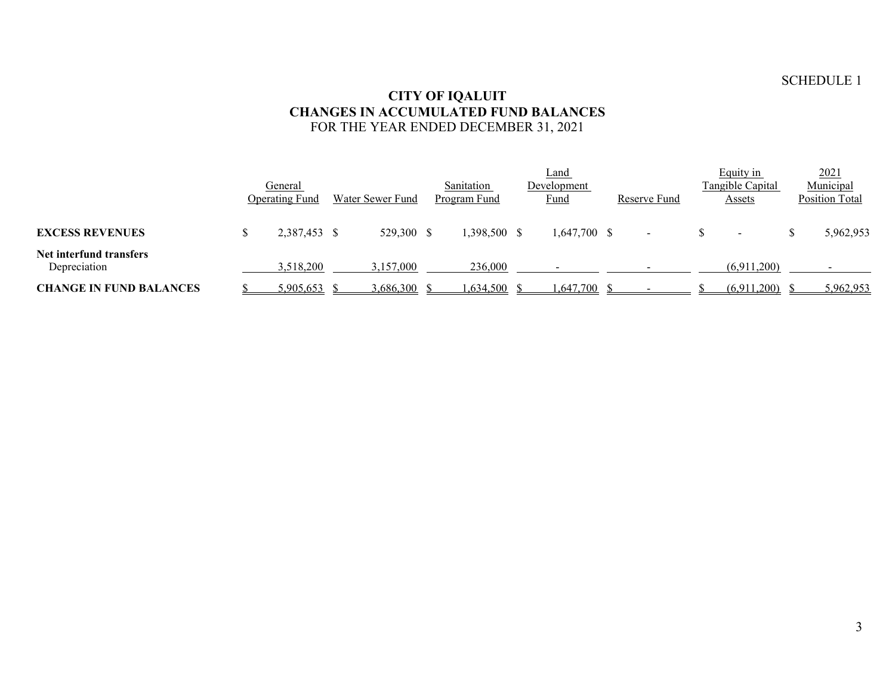## SCHEDULE 1

### **CITY OF IQALUIT CHANGES IN ACCUMULATED FUND BALANCES** FOR THE YEAR ENDED DECEMBER 31, 2021

|                                         | General<br><b>Operating Fund</b> | Water Sewer Fund | Sanitation<br>Program Fund | Land<br>Development<br>Fund | Reserve Fund             | Equity in<br>Tangible Capital<br>Assets | 2021<br>Municipal<br><b>Position Total</b> |
|-----------------------------------------|----------------------------------|------------------|----------------------------|-----------------------------|--------------------------|-----------------------------------------|--------------------------------------------|
| <b>EXCESS REVENUES</b>                  | 2,387,453 \$                     | 529,300 \$       | 1,398,500 \$               | $1,647,700$ \$              | $\overline{\phantom{a}}$ | $\,$                                    | 5,962,953                                  |
| Net interfund transfers<br>Depreciation | 3,518,200                        | 3,157,000        | 236,000                    |                             |                          | (6,911,200)                             |                                            |
| <b>CHANGE IN FUND BALANCES</b>          | 5,905,653                        | 3,686,300        | 0.634,500                  | 1,647,700                   |                          | (6,911,200)                             | 5,962,953                                  |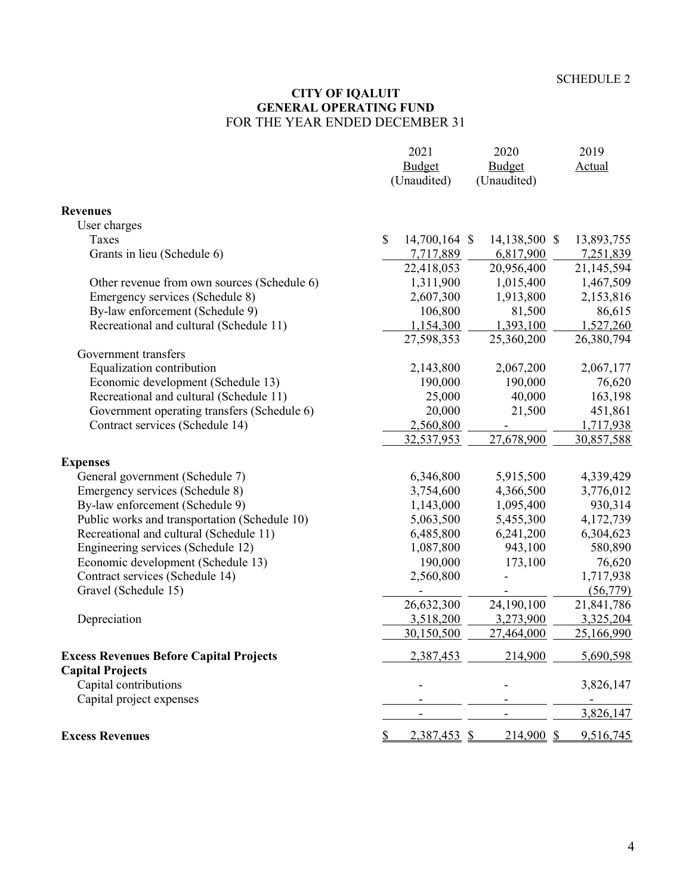### **CITY OF IQALUIT GENERAL OPERATING FUND** FOR THE YEAR ENDED DECEMBER 31

|                                                | 2021                           | 2020          | 2019                     |
|------------------------------------------------|--------------------------------|---------------|--------------------------|
|                                                | Budget                         | Budget        | <b>Actual</b>            |
|                                                | (Unaudited)                    | (Unaudited)   |                          |
| <b>Revenues</b>                                |                                |               |                          |
| User charges                                   |                                |               |                          |
| Taxes                                          | $\mathcal{S}$<br>14,700,164 \$ | 14,138,500 \$ | 13,893,755               |
| Grants in lieu (Schedule 6)                    | 7,717,889                      | 6,817,900     | 7,251,839                |
|                                                | 22,418,053                     | 20,956,400    | 21,145,594               |
| Other revenue from own sources (Schedule 6)    | 1,311,900                      | 1,015,400     | 1,467,509                |
| Emergency services (Schedule 8)                | 2,607,300                      | 1,913,800     | 2,153,816                |
| By-law enforcement (Schedule 9)                | 106,800                        | 81,500        | 86,615                   |
| Recreational and cultural (Schedule 11)        | 1,154,300                      | 1,393,100     | 1,527,260                |
|                                                | 27,598,353                     | 25,360,200    | 26,380,794               |
| Government transfers                           |                                |               |                          |
| Equalization contribution                      | 2,143,800                      | 2,067,200     | 2,067,177                |
| Economic development (Schedule 13)             | 190,000                        | 190,000       | 76,620                   |
| Recreational and cultural (Schedule 11)        | 25,000                         | 40,000        | 163,198                  |
| Government operating transfers (Schedule 6)    | 20,000                         | 21,500        | 451,861                  |
| Contract services (Schedule 14)                | 2,560,800                      |               | 1,717,938                |
|                                                | 32,537,953                     | 27,678,900    | 30,857,588               |
| <b>Expenses</b>                                |                                |               |                          |
| General government (Schedule 7)                | 6,346,800                      | 5,915,500     | 4,339,429                |
| Emergency services (Schedule 8)                | 3,754,600                      | 4,366,500     | 3,776,012                |
| By-law enforcement (Schedule 9)                | 1,143,000                      | 1,095,400     | 930,314                  |
| Public works and transportation (Schedule 10)  | 5,063,500                      | 5,455,300     | 4,172,739                |
| Recreational and cultural (Schedule 11)        | 6,485,800                      | 6,241,200     | 6,304,623                |
| Engineering services (Schedule 12)             | 1,087,800                      | 943,100       | 580,890                  |
| Economic development (Schedule 13)             | 190,000                        | 173,100       | 76,620                   |
| Contract services (Schedule 14)                | 2,560,800                      |               | 1,717,938                |
| Gravel (Schedule 15)                           |                                |               | (56,779)                 |
|                                                | 26,632,300                     | 24,190,100    | 21,841,786               |
| Depreciation                                   | 3,518,200                      | 3,273,900     | 3,325,204                |
|                                                | 30,150,500                     | 27,464,000    | 25,166,990               |
| <b>Excess Revenues Before Capital Projects</b> | 2,387,453                      | 214,900       | 5,690,598                |
| <b>Capital Projects</b>                        |                                |               |                          |
| Capital contributions                          |                                |               | 3,826,147                |
| Capital project expenses                       |                                |               | $\overline{\phantom{a}}$ |
|                                                |                                |               | 3,826,147                |
| <b>Excess Revenues</b>                         | 2,387,453 \$                   | $214,900$ \$  | 9,516,745                |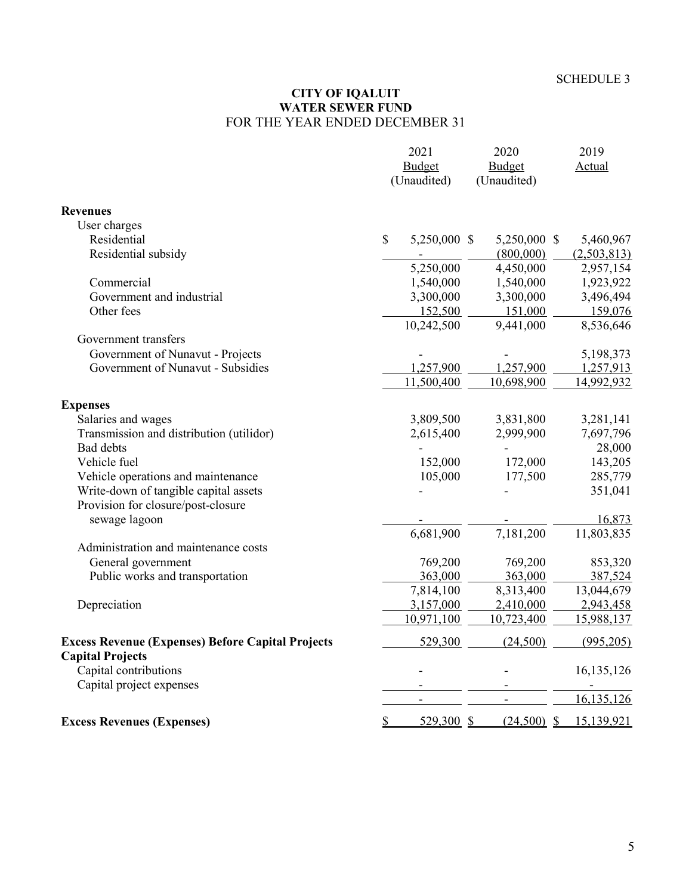#### **CITY OF IQALUIT WATER SEWER FUND** FOR THE YEAR ENDED DECEMBER 31

|                                                          |                           | 2021                   | 2020                    | 2019        |
|----------------------------------------------------------|---------------------------|------------------------|-------------------------|-------------|
|                                                          |                           | <b>Budget</b>          | <b>Budget</b>           | Actual      |
|                                                          |                           | (Unaudited)            | (Unaudited)             |             |
| <b>Revenues</b>                                          |                           |                        |                         |             |
| User charges                                             |                           |                        |                         |             |
| Residential                                              | $\boldsymbol{\mathsf{S}}$ | 5,250,000 \$           | 5,250,000 \$            | 5,460,967   |
| Residential subsidy                                      |                           |                        | (800,000)               | (2,503,813) |
|                                                          |                           | 5,250,000              | 4,450,000               | 2,957,154   |
| Commercial                                               |                           | 1,540,000              | 1,540,000               | 1,923,922   |
| Government and industrial                                |                           | 3,300,000              | 3,300,000               | 3,496,494   |
| Other fees                                               |                           | 152,500                | 151,000                 | 159,076     |
|                                                          |                           | 10,242,500             | 9,441,000               | 8,536,646   |
| Government transfers                                     |                           |                        |                         |             |
| Government of Nunavut - Projects                         |                           |                        |                         | 5,198,373   |
| Government of Nunavut - Subsidies                        |                           | 1,257,900              | 1,257,900               | 1,257,913   |
|                                                          |                           | 11,500,400             | 10,698,900              | 14,992,932  |
|                                                          |                           |                        |                         |             |
| <b>Expenses</b>                                          |                           |                        |                         |             |
| Salaries and wages                                       |                           | 3,809,500              | 3,831,800               | 3,281,141   |
| Transmission and distribution (utilidor)                 |                           | 2,615,400              | 2,999,900               | 7,697,796   |
| Bad debts                                                |                           |                        |                         | 28,000      |
| Vehicle fuel                                             |                           | 152,000                | 172,000                 | 143,205     |
| Vehicle operations and maintenance                       |                           | 105,000                | 177,500                 | 285,779     |
| Write-down of tangible capital assets                    |                           |                        |                         | 351,041     |
| Provision for closure/post-closure                       |                           |                        |                         |             |
| sewage lagoon                                            |                           |                        |                         | 16,873      |
|                                                          |                           | 6,681,900              | 7,181,200               | 11,803,835  |
| Administration and maintenance costs                     |                           |                        |                         |             |
| General government                                       |                           | 769,200                | 769,200                 | 853,320     |
| Public works and transportation                          |                           | 363,000                | 363,000                 | 387,524     |
|                                                          |                           | 7,814,100<br>3,157,000 | 8,313,400               | 13,044,679  |
| Depreciation                                             |                           |                        | 2,410,000<br>10,723,400 | 2,943,458   |
|                                                          |                           | 10,971,100             |                         | 15,988,137  |
| <b>Excess Revenue (Expenses) Before Capital Projects</b> |                           | 529,300                | (24,500)                | (995,205)   |
| <b>Capital Projects</b>                                  |                           |                        |                         |             |
| Capital contributions                                    |                           |                        |                         | 16,135,126  |
| Capital project expenses                                 |                           |                        |                         | 16,135,126  |
|                                                          |                           |                        |                         |             |
| <b>Excess Revenues (Expenses)</b>                        | \$                        | $529,300$ \$           | $(24,500)$ \$           | 15,139,921  |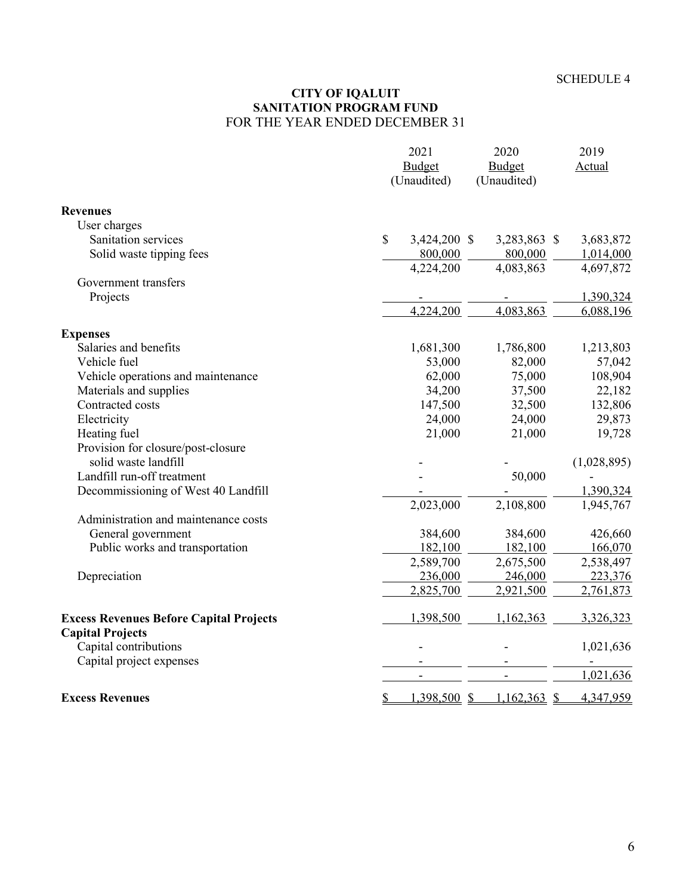#### **CITY OF IQALUIT SANITATION PROGRAM FUND** FOR THE YEAR ENDED DECEMBER 31

|                                                                           | 2021<br><b>Budget</b><br>(Unaudited) | 2020<br><b>Budget</b><br>(Unaudited) | 2019<br>Actual |
|---------------------------------------------------------------------------|--------------------------------------|--------------------------------------|----------------|
| <b>Revenues</b>                                                           |                                      |                                      |                |
| User charges                                                              |                                      |                                      |                |
| Sanitation services                                                       | $\$$<br>3,424,200 \$                 | 3,283,863 \$                         | 3,683,872      |
| Solid waste tipping fees                                                  | 800,000                              | 800,000                              | 1,014,000      |
|                                                                           | 4,224,200                            | 4,083,863                            | 4,697,872      |
| Government transfers                                                      |                                      |                                      |                |
| Projects                                                                  |                                      |                                      | 1,390,324      |
|                                                                           | 4,224,200                            | 4,083,863                            | 6,088,196      |
| <b>Expenses</b>                                                           |                                      |                                      |                |
| Salaries and benefits                                                     | 1,681,300                            | 1,786,800                            | 1,213,803      |
| Vehicle fuel                                                              | 53,000                               | 82,000                               | 57,042         |
| Vehicle operations and maintenance                                        | 62,000                               | 75,000                               | 108,904        |
| Materials and supplies                                                    | 34,200                               | 37,500                               | 22,182         |
| Contracted costs                                                          | 147,500                              | 32,500                               | 132,806        |
| Electricity                                                               | 24,000                               | 24,000                               | 29,873         |
| Heating fuel                                                              | 21,000                               | 21,000                               | 19,728         |
| Provision for closure/post-closure<br>solid waste landfill                |                                      |                                      | (1,028,895)    |
| Landfill run-off treatment                                                |                                      | 50,000                               |                |
| Decommissioning of West 40 Landfill                                       |                                      |                                      | 1,390,324      |
|                                                                           | 2,023,000                            | 2,108,800                            | 1,945,767      |
| Administration and maintenance costs                                      |                                      |                                      |                |
| General government                                                        | 384,600                              | 384,600                              | 426,660        |
| Public works and transportation                                           | 182,100                              | 182,100                              | 166,070        |
|                                                                           | 2,589,700                            | 2,675,500                            | 2,538,497      |
| Depreciation                                                              | 236,000                              | 246,000                              | 223,376        |
|                                                                           | 2,825,700                            | 2,921,500                            | 2,761,873      |
| <b>Excess Revenues Before Capital Projects</b><br><b>Capital Projects</b> | 1,398,500                            | 1,162,363                            | 3,326,323      |
| Capital contributions                                                     |                                      |                                      | 1,021,636      |
| Capital project expenses                                                  |                                      |                                      |                |
|                                                                           | $\blacksquare$                       | $\overline{\phantom{a}}$             | 1,021,636      |
| <b>Excess Revenues</b>                                                    | $1,398,500$ \$<br><u>\$</u>          | 1,162,363<br>$\mathcal{S}$           | 4,347,959      |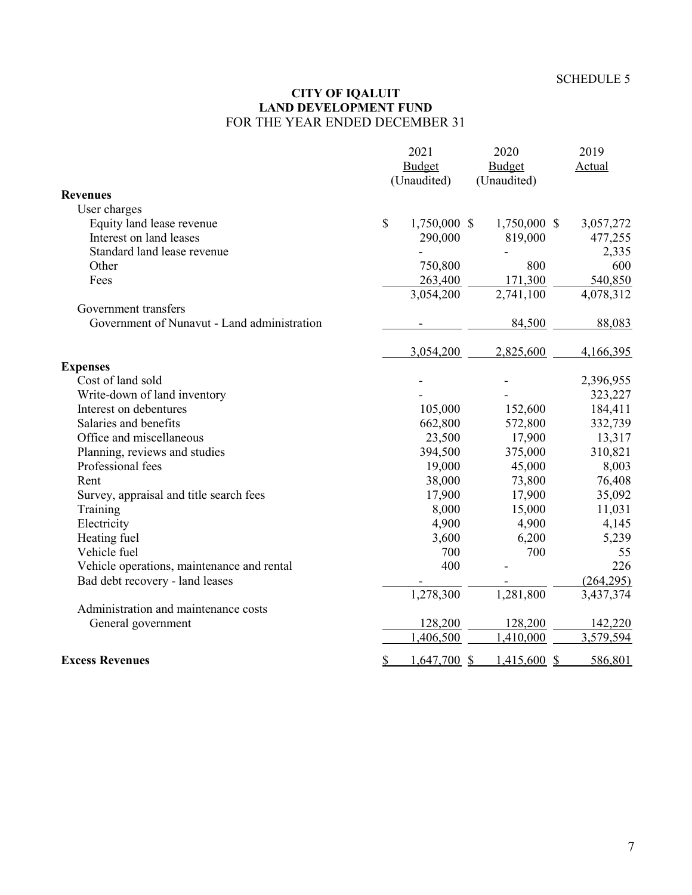#### **CITY OF IQALUIT LAND DEVELOPMENT FUND** FOR THE YEAR ENDED DECEMBER 31

|                                             | 2021                 | 2020         | 2019                     |
|---------------------------------------------|----------------------|--------------|--------------------------|
|                                             | <b>Budget</b>        | Budget       | Actual                   |
|                                             | (Unaudited)          | (Unaudited)  |                          |
| <b>Revenues</b>                             |                      |              |                          |
| User charges                                |                      |              |                          |
| Equity land lease revenue                   | \$<br>1,750,000 \$   | 1,750,000 \$ | 3,057,272                |
| Interest on land leases                     | 290,000              | 819,000      | 477,255                  |
| Standard land lease revenue                 |                      |              | 2,335                    |
| Other                                       | 750,800              | 800          | 600                      |
| Fees                                        | 263,400              | 171,300      | 540,850                  |
|                                             | 3,054,200            | 2,741,100    | 4,078,312                |
| Government transfers                        |                      |              |                          |
| Government of Nunavut - Land administration |                      | 84,500       | 88,083                   |
|                                             | 3,054,200            | 2,825,600    | 4,166,395                |
| <b>Expenses</b>                             |                      |              |                          |
| Cost of land sold                           |                      |              | 2,396,955                |
| Write-down of land inventory                |                      |              | 323,227                  |
| Interest on debentures                      | 105,000              | 152,600      | 184,411                  |
| Salaries and benefits                       | 662,800              | 572,800      | 332,739                  |
| Office and miscellaneous                    | 23,500               | 17,900       | 13,317                   |
| Planning, reviews and studies               | 394,500              | 375,000      | 310,821                  |
| Professional fees                           | 19,000               | 45,000       | 8,003                    |
| Rent                                        | 38,000               | 73,800       | 76,408                   |
| Survey, appraisal and title search fees     | 17,900               | 17,900       | 35,092                   |
| Training                                    | 8,000                | 15,000       | 11,031                   |
| Electricity                                 | 4,900                | 4,900        | 4,145                    |
| Heating fuel                                | 3,600                | 6,200        | 5,239                    |
| Vehicle fuel                                | 700                  | 700          | 55                       |
| Vehicle operations, maintenance and rental  | 400                  |              | 226                      |
| Bad debt recovery - land leases             |                      |              | (264, 295)               |
|                                             | 1,278,300            | 1,281,800    | 3,437,374                |
| Administration and maintenance costs        |                      |              |                          |
| General government                          | 128,200              | 128,200      | 142,220                  |
|                                             | 1,406,500            | 1,410,000    | 3,579,594                |
| <b>Excess Revenues</b>                      | \$<br>$1,647,700$ \$ | 1,415,600    | 586,801<br><sup>\$</sup> |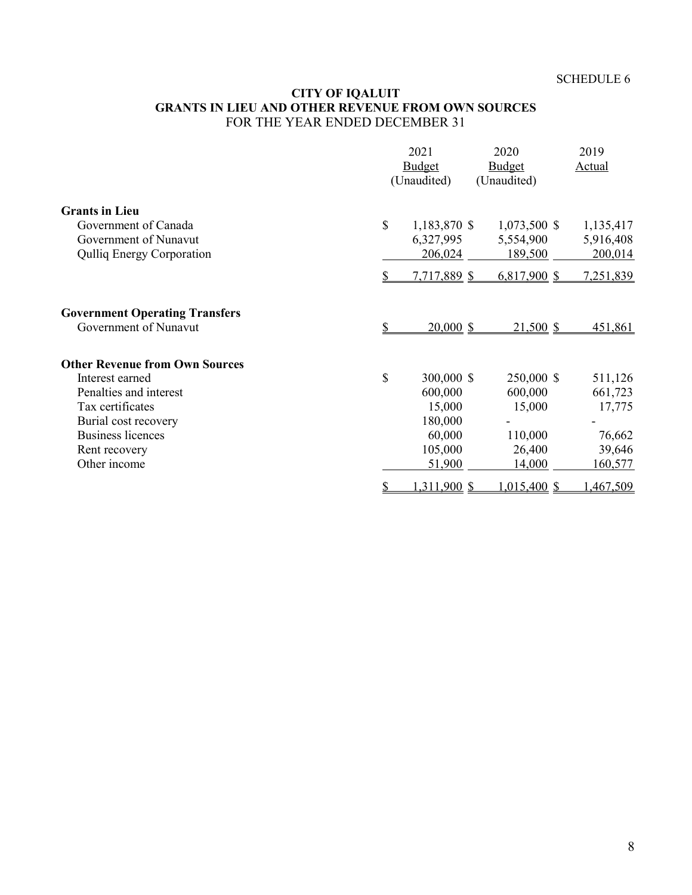## **CITY OF IQALUIT GRANTS IN LIEU AND OTHER REVENUE FROM OWN SOURCES** FOR THE YEAR ENDED DECEMBER 31

|                                       |               | 2021<br>Budget<br>(Unaudited) | 2020<br>Budget<br>(Unaudited) | 2019<br>Actual |
|---------------------------------------|---------------|-------------------------------|-------------------------------|----------------|
| <b>Grants in Lieu</b>                 |               |                               |                               |                |
| Government of Canada                  | $\mathcal{S}$ | 1,183,870 \$                  | 1,073,500 \$                  | 1,135,417      |
| Government of Nunavut                 |               | 6,327,995                     | 5,554,900                     | 5,916,408      |
| <b>Qulliq Energy Corporation</b>      |               | 206,024                       | 189,500                       | 200,014        |
|                                       | \$            | 7,717,889 \$                  | $6,817,900$ \$                | 7,251,839      |
| <b>Government Operating Transfers</b> |               |                               |                               |                |
| Government of Nunavut                 | \$            | $20,000$ \$                   | $21,500$ \$                   | 451,861        |
| <b>Other Revenue from Own Sources</b> |               |                               |                               |                |
| Interest earned                       | \$            | 300,000 \$                    | 250,000 \$                    | 511,126        |
| Penalties and interest                |               | 600,000                       | 600,000                       | 661,723        |
| Tax certificates                      |               | 15,000                        | 15,000                        | 17,775         |
| Burial cost recovery                  |               | 180,000                       |                               |                |
| <b>Business licences</b>              |               | 60,000                        | 110,000                       | 76,662         |
| Rent recovery                         |               | 105,000                       | 26,400                        | 39,646         |
| Other income                          |               | 51,900                        | 14,000                        | 160,577        |
|                                       | \$            | 1,311,900 \$                  | $1,015,400$ \$                | 1,467,509      |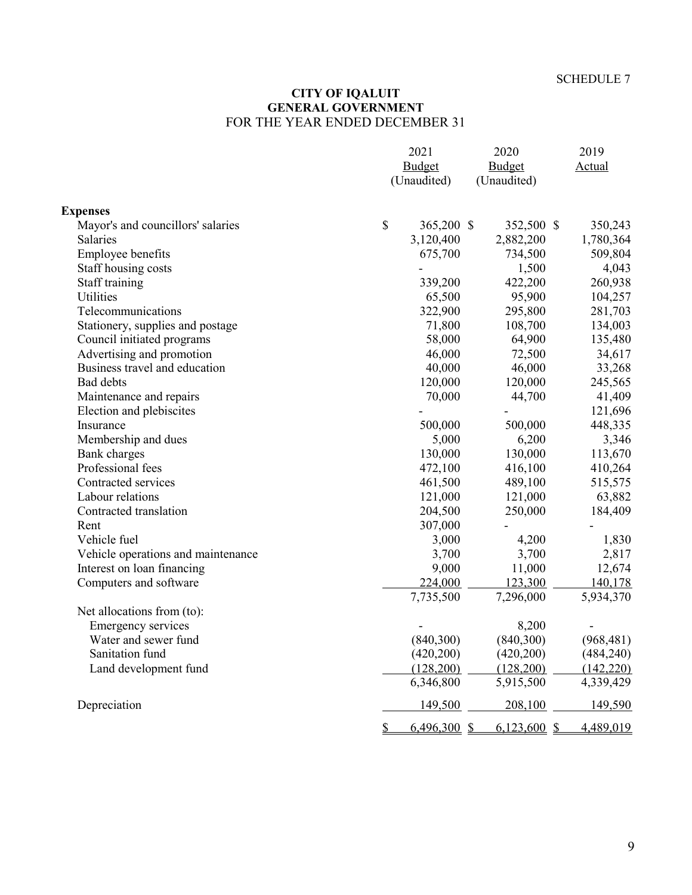#### **CITY OF IQALUIT GENERAL GOVERNMENT** FOR THE YEAR ENDED DECEMBER 31

|                                    | 2021<br>Budget<br>(Unaudited)   | 2020<br><b>Budget</b><br>(Unaudited) |            |
|------------------------------------|---------------------------------|--------------------------------------|------------|
| <b>Expenses</b>                    |                                 |                                      |            |
| Mayor's and councillors' salaries  | $\mathbb{S}$<br>365,200 \$      | 352,500 \$                           | 350,243    |
| Salaries                           | 3,120,400                       | 2,882,200                            | 1,780,364  |
| Employee benefits                  | 675,700                         | 734,500                              | 509,804    |
| Staff housing costs                |                                 | 1,500                                | 4,043      |
| Staff training                     | 339,200                         | 422,200                              | 260,938    |
| Utilities                          | 65,500                          | 95,900                               | 104,257    |
| Telecommunications                 | 322,900                         | 295,800                              | 281,703    |
| Stationery, supplies and postage   | 71,800                          | 108,700                              | 134,003    |
| Council initiated programs         | 58,000                          | 64,900                               | 135,480    |
| Advertising and promotion          | 46,000                          | 72,500                               | 34,617     |
| Business travel and education      | 40,000                          | 46,000                               | 33,268     |
| Bad debts                          | 120,000                         | 120,000                              | 245,565    |
| Maintenance and repairs            | 70,000                          | 44,700                               | 41,409     |
| Election and plebiscites           |                                 |                                      | 121,696    |
| Insurance                          | 500,000                         | 500,000                              | 448,335    |
| Membership and dues                | 5,000                           | 6,200                                | 3,346      |
| Bank charges                       | 130,000                         | 130,000                              | 113,670    |
| Professional fees                  | 472,100                         | 416,100                              | 410,264    |
| Contracted services                | 461,500                         | 489,100                              | 515,575    |
| Labour relations                   | 121,000                         | 121,000                              | 63,882     |
| Contracted translation             | 204,500                         | 250,000                              | 184,409    |
| Rent                               | 307,000                         |                                      |            |
| Vehicle fuel                       | 3,000                           | 4,200                                | 1,830      |
| Vehicle operations and maintenance | 3,700                           | 3,700                                | 2,817      |
| Interest on loan financing         | 9,000                           | 11,000                               | 12,674     |
| Computers and software             | 224,000                         | 123,300                              | 140,178    |
|                                    | 7,735,500                       | 7,296,000                            | 5,934,370  |
| Net allocations from (to):         |                                 |                                      |            |
| <b>Emergency services</b>          |                                 | 8,200                                |            |
| Water and sewer fund               | (840,300)                       | (840,300)                            | (968, 481) |
| Sanitation fund                    | (420, 200)                      | (420, 200)                           | (484, 240) |
| Land development fund              | (128,200)                       | (128,200)                            | (142, 220) |
|                                    | 6,346,800                       | 5,915,500                            | 4,339,429  |
| Depreciation                       | 149,500                         | 208,100                              | 149,590    |
|                                    | $6,496,300$ \$<br>$\frac{1}{2}$ | 6,123,600 \$                         | 4,489,019  |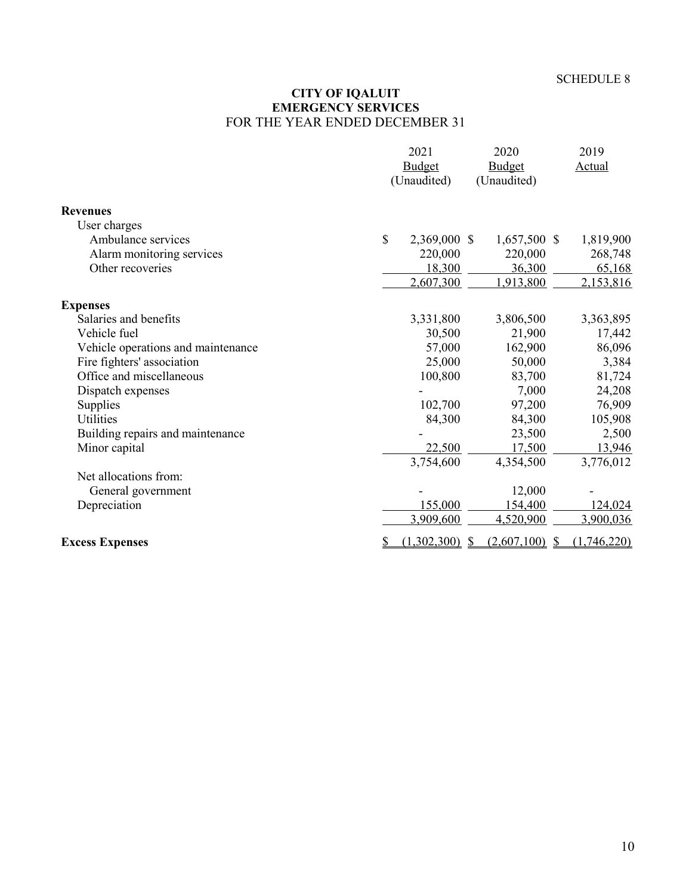#### **CITY OF IQALUIT EMERGENCY SERVICES** FOR THE YEAR ENDED DECEMBER 31

|                                    |               | 2021         | 2020                             | 2019          |
|------------------------------------|---------------|--------------|----------------------------------|---------------|
|                                    |               | Budget       | Budget                           | <b>Actual</b> |
|                                    |               | (Unaudited)  | (Unaudited)                      |               |
| <b>Revenues</b>                    |               |              |                                  |               |
| User charges                       |               |              |                                  |               |
| Ambulance services                 | $\mathcal{S}$ | 2,369,000 \$ | 1,657,500 \$                     | 1,819,900     |
| Alarm monitoring services          |               | 220,000      | 220,000                          | 268,748       |
| Other recoveries                   |               | 18,300       | 36,300                           | 65,168        |
|                                    |               | 2,607,300    | 1,913,800                        | 2,153,816     |
| <b>Expenses</b>                    |               |              |                                  |               |
| Salaries and benefits              |               | 3,331,800    | 3,806,500                        | 3,363,895     |
| Vehicle fuel                       |               | 30,500       | 21,900                           | 17,442        |
| Vehicle operations and maintenance |               | 57,000       | 162,900                          | 86,096        |
| Fire fighters' association         |               | 25,000       | 50,000                           | 3,384         |
| Office and miscellaneous           |               | 100,800      | 83,700                           | 81,724        |
| Dispatch expenses                  |               |              | 7,000                            | 24,208        |
| Supplies                           |               | 102,700      | 97,200                           | 76,909        |
| Utilities                          |               | 84,300       | 84,300                           | 105,908       |
| Building repairs and maintenance   |               |              | 23,500                           | 2,500         |
| Minor capital                      |               | 22,500       | 17,500                           | 13,946        |
|                                    |               | 3,754,600    | 4,354,500                        | 3,776,012     |
| Net allocations from:              |               |              |                                  |               |
| General government                 |               |              | 12,000                           |               |
| Depreciation                       |               | 155,000      | 154,400                          | 124,024       |
|                                    |               | 3,909,600    | 4,520,900                        | 3,900,036     |
| <b>Excess Expenses</b>             | <u>s</u>      | (1,302,300)  | $(2,607,100)$ \$<br>$\mathbb{S}$ | (1,746,220)   |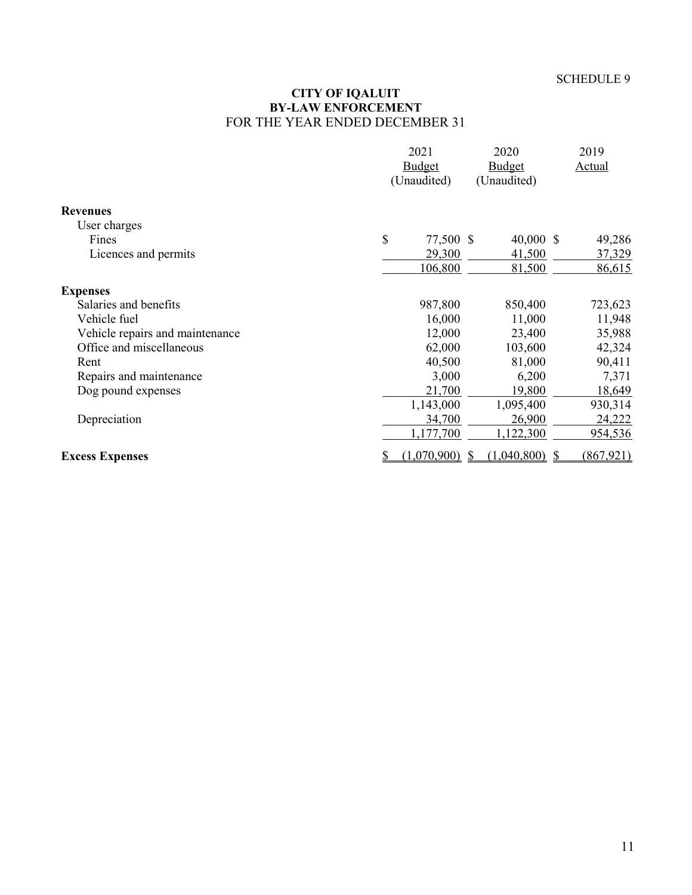#### **CITY OF IQALUIT BY-LAW ENFORCEMENT** FOR THE YEAR ENDED DECEMBER 31

|                                 |           | 2021          | 2020          | 2019          |
|---------------------------------|-----------|---------------|---------------|---------------|
|                                 |           | <b>Budget</b> | <b>Budget</b> | <b>Actual</b> |
|                                 |           | (Unaudited)   | (Unaudited)   |               |
| <b>Revenues</b>                 |           |               |               |               |
| User charges                    |           |               |               |               |
| Fines                           | \$        | 77,500 \$     | 40,000 \$     | 49,286        |
| Licences and permits            |           | 29,300        | 41,500        | 37,329        |
|                                 |           | 106,800       | 81,500        | 86,615        |
| <b>Expenses</b>                 |           |               |               |               |
| Salaries and benefits           |           | 987,800       | 850,400       | 723,623       |
| Vehicle fuel                    |           | 16,000        | 11,000        | 11,948        |
| Vehicle repairs and maintenance |           | 12,000        | 23,400        | 35,988        |
| Office and miscellaneous        |           | 62,000        | 103,600       | 42,324        |
| Rent                            |           | 40,500        | 81,000        | 90,411        |
| Repairs and maintenance         |           | 3,000         | 6,200         | 7,371         |
| Dog pound expenses              |           | 21,700        | 19,800        | 18,649        |
|                                 |           | 1,143,000     | 1,095,400     | 930,314       |
| Depreciation                    |           | 34,700        | 26,900        | 24,222        |
|                                 |           | 1,177,700     | 1,122,300     | 954,536       |
| <b>Excess Expenses</b>          | <u>\$</u> | (1,070,900)   | (1,040,800)   | (867, 921)    |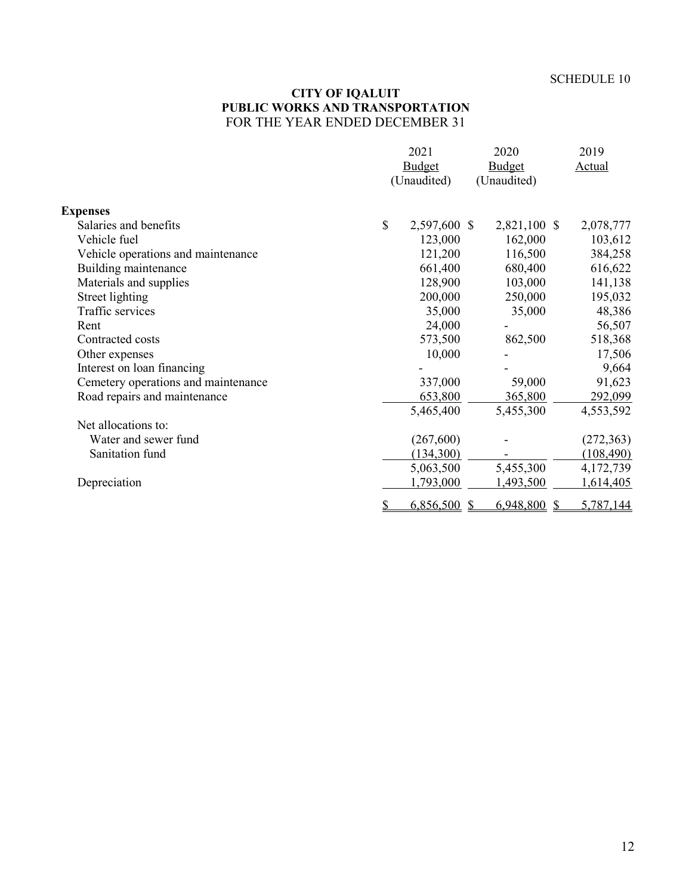### **CITY OF IQALUIT PUBLIC WORKS AND TRANSPORTATION** FOR THE YEAR ENDED DECEMBER 31

|                                     | 2021               | 2020            | 2019            |
|-------------------------------------|--------------------|-----------------|-----------------|
|                                     | <b>Budget</b>      | <b>Budget</b>   | <b>Actual</b>   |
|                                     | (Unaudited)        | (Unaudited)     |                 |
| <b>Expenses</b>                     |                    |                 |                 |
| Salaries and benefits               | \$<br>2,597,600 \$ | 2,821,100 \$    | 2,078,777       |
| Vehicle fuel                        | 123,000            | 162,000         | 103,612         |
| Vehicle operations and maintenance  | 121,200            | 116,500         | 384,258         |
| Building maintenance                | 661,400            | 680,400         | 616,622         |
| Materials and supplies              | 128,900            | 103,000         | 141,138         |
| Street lighting                     | 200,000            | 250,000         | 195,032         |
| Traffic services                    | 35,000             | 35,000          | 48,386          |
| Rent                                | 24,000             |                 | 56,507          |
| Contracted costs                    | 573,500            | 862,500         | 518,368         |
| Other expenses                      | 10,000             |                 | 17,506          |
| Interest on loan financing          |                    |                 | 9,664           |
| Cemetery operations and maintenance | 337,000            | 59,000          | 91,623          |
| Road repairs and maintenance        | 653,800            | 365,800         | 292,099         |
|                                     | 5,465,400          | 5,455,300       | 4,553,592       |
| Net allocations to:                 |                    |                 |                 |
| Water and sewer fund                | (267,600)          |                 | (272, 363)      |
| Sanitation fund                     | (134,300)          |                 | (108, 490)      |
|                                     | 5,063,500          | 5,455,300       | 4,172,739       |
| Depreciation                        | 1,793,000          | 1,493,500       | 1,614,405       |
|                                     | \$<br>6,856,500    | 6,948,800<br>-S | 5,787,144<br>-S |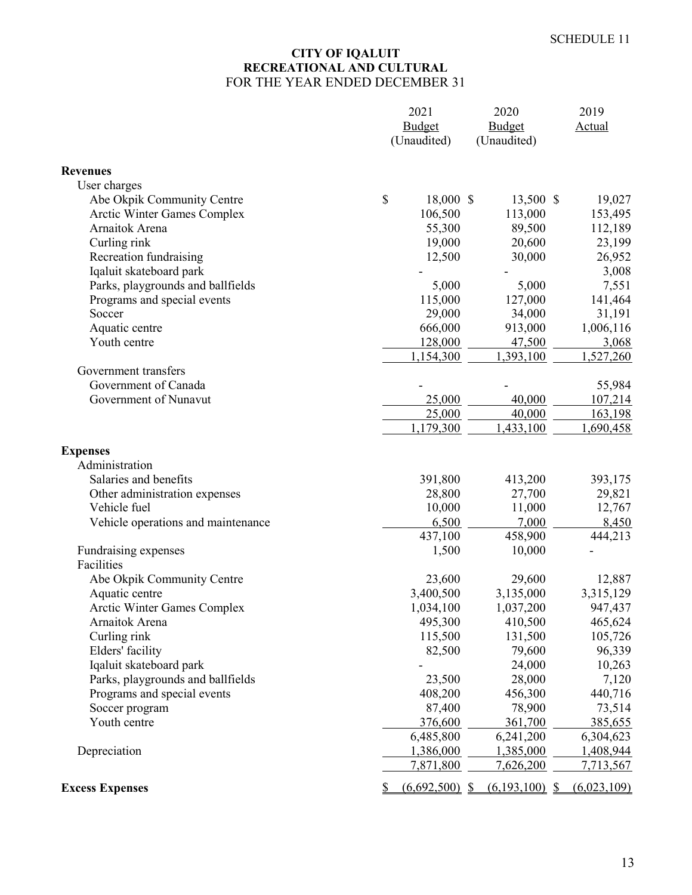## **CITY OF IQALUIT RECREATIONAL AND CULTURAL** FOR THE YEAR ENDED DECEMBER 31

|                                    |    | 2021<br>2020<br><b>Budget</b><br><b>Budget</b> |                  | 2019        |
|------------------------------------|----|------------------------------------------------|------------------|-------------|
|                                    |    |                                                |                  | Actual      |
|                                    |    | (Unaudited)                                    | (Unaudited)      |             |
| <b>Revenues</b>                    |    |                                                |                  |             |
| User charges                       |    |                                                |                  |             |
| Abe Okpik Community Centre         | \$ | 18,000 \$                                      | 13,500 \$        | 19,027      |
| Arctic Winter Games Complex        |    | 106,500                                        | 113,000          | 153,495     |
| Arnaitok Arena                     |    | 55,300                                         | 89,500           | 112,189     |
| Curling rink                       |    | 19,000                                         | 20,600           | 23,199      |
| Recreation fundraising             |    | 12,500                                         | 30,000           | 26,952      |
| Iqaluit skateboard park            |    |                                                |                  | 3,008       |
| Parks, playgrounds and ballfields  |    | 5,000                                          | 5,000            | 7,551       |
| Programs and special events        |    | 115,000                                        | 127,000          | 141,464     |
| Soccer                             |    | 29,000                                         | 34,000           | 31,191      |
| Aquatic centre                     |    | 666,000                                        | 913,000          | 1,006,116   |
| Youth centre                       |    | 128,000                                        | 47,500           | 3,068       |
|                                    |    | 1,154,300                                      | 1,393,100        | 1,527,260   |
| Government transfers               |    |                                                |                  |             |
| Government of Canada               |    |                                                |                  | 55,984      |
| Government of Nunavut              |    | 25,000                                         | 40,000           | 107,214     |
|                                    |    | 25,000                                         | 40,000           | 163,198     |
|                                    |    | 1,179,300                                      | 1,433,100        | 1,690,458   |
| <b>Expenses</b>                    |    |                                                |                  |             |
| Administration                     |    |                                                |                  |             |
| Salaries and benefits              |    | 391,800                                        | 413,200          | 393,175     |
| Other administration expenses      |    | 28,800                                         | 27,700           | 29,821      |
| Vehicle fuel                       |    | 10,000                                         | 11,000           | 12,767      |
| Vehicle operations and maintenance |    | 6,500                                          | 7,000            | 8,450       |
|                                    |    | 437,100                                        | 458,900          | 444,213     |
| Fundraising expenses               |    | 1,500                                          | 10,000           |             |
| Facilities                         |    |                                                |                  |             |
| Abe Okpik Community Centre         |    | 23,600                                         | 29,600           | 12,887      |
| Aquatic centre                     |    | 3,400,500                                      | 3,135,000        | 3,315,129   |
| <b>Arctic Winter Games Complex</b> |    | 1,034,100                                      | 1,037,200        | 947,437     |
| Arnaitok Arena                     |    | 495,300                                        | 410,500          | 465,624     |
| Curling rink                       |    | 115,500                                        | 131,500          | 105,726     |
| Elders' facility                   |    | 82,500                                         | 79,600           | 96,339      |
| Iqaluit skateboard park            |    |                                                | 24,000           | 10,263      |
| Parks, playgrounds and ballfields  |    | 23,500                                         | 28,000           | 7,120       |
| Programs and special events        |    | 408,200                                        | 456,300          | 440,716     |
| Soccer program                     |    | 87,400                                         | 78,900           | 73,514      |
| Youth centre                       |    | 376,600                                        | 361,700          | 385,655     |
|                                    |    | 6,485,800                                      | 6,241,200        | 6,304,623   |
| Depreciation                       |    | 1,386,000                                      | 1,385,000        | 1,408,944   |
|                                    |    | 7,871,800                                      | 7,626,200        | 7,713,567   |
| <b>Excess Expenses</b>             |    | $(6,692,500)$ \$                               | $(6,193,100)$ \$ | (6,023,109) |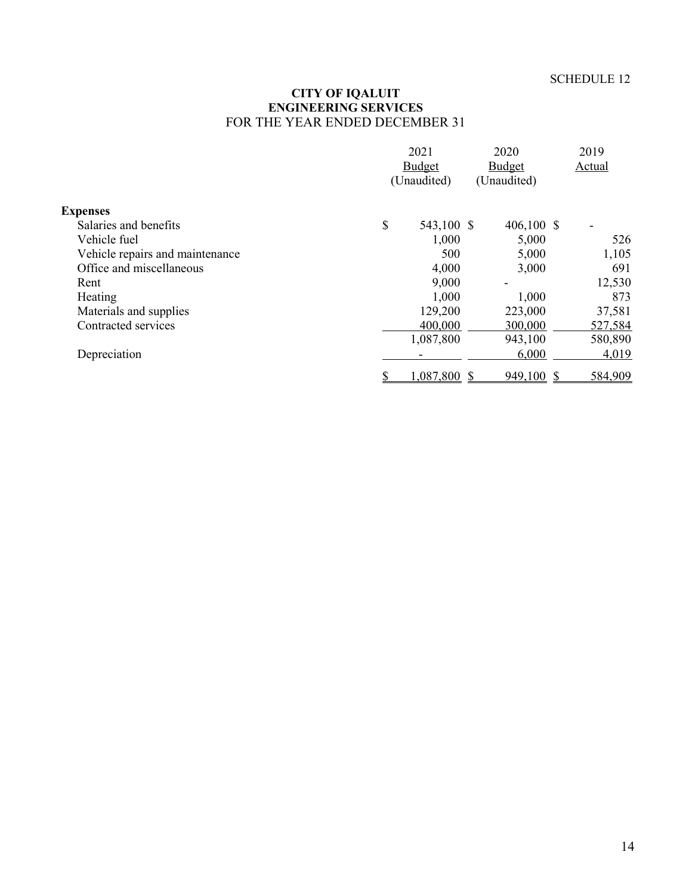#### **CITY OF IQALUIT ENGINEERING SERVICES** FOR THE YEAR ENDED DECEMBER 31

|                                 |             | 2021<br><b>Budget</b> |              | 2019    |
|---------------------------------|-------------|-----------------------|--------------|---------|
|                                 |             |                       |              | Actual  |
|                                 | (Unaudited) |                       | (Unaudited)  |         |
| <b>Expenses</b>                 |             |                       |              |         |
| Salaries and benefits           | \$          | 543,100 \$            | 406,100 \$   |         |
| Vehicle fuel                    |             | 1,000                 | 5,000        | 526     |
| Vehicle repairs and maintenance |             | 500                   | 5,000        | 1,105   |
| Office and miscellaneous        |             | 4,000                 | 3,000        | 691     |
| Rent                            |             | 9,000                 |              | 12,530  |
| Heating                         |             | 1,000                 | 1,000        | 873     |
| Materials and supplies          |             | 129,200               | 223,000      | 37,581  |
| Contracted services             |             | 400,000               | 300,000      | 527,584 |
|                                 |             | 1,087,800             | 943,100      | 580,890 |
| Depreciation                    |             |                       | 6,000        | 4,019   |
|                                 |             | 1,087,800             | $949,100$ \$ | 584,909 |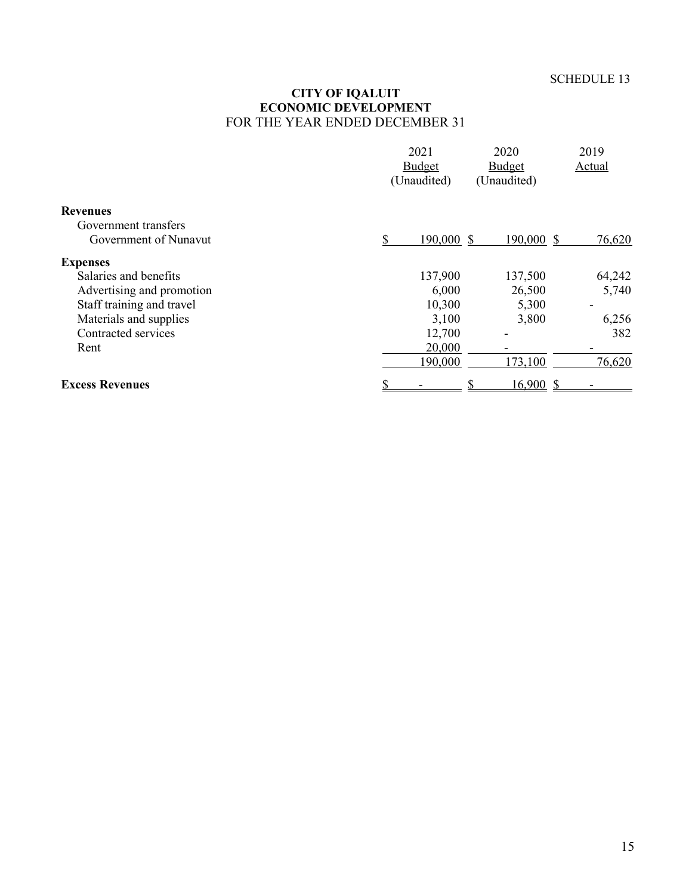#### **CITY OF IQALUIT ECONOMIC DEVELOPMENT** FOR THE YEAR ENDED DECEMBER 31

|                           | 2021<br>Budget   | 2020<br>Budget | 2019<br>Actual |  |
|---------------------------|------------------|----------------|----------------|--|
|                           | (Unaudited)      | (Unaudited)    |                |  |
| <b>Revenues</b>           |                  |                |                |  |
| Government transfers      |                  |                |                |  |
| Government of Nunavut     | \$<br>190,000 \$ | 190,000 \$     | 76,620         |  |
| <b>Expenses</b>           |                  |                |                |  |
| Salaries and benefits     | 137,900          | 137,500        | 64,242         |  |
| Advertising and promotion | 6,000            | 26,500         | 5,740          |  |
| Staff training and travel | 10,300           | 5,300          |                |  |
| Materials and supplies    | 3,100            | 3,800          | 6,256          |  |
| Contracted services       | 12,700           |                | 382            |  |
| Rent                      | 20,000           |                |                |  |
|                           | 190,000          | 173,100        | 76,620         |  |
| <b>Excess Revenues</b>    |                  | 16,900S        |                |  |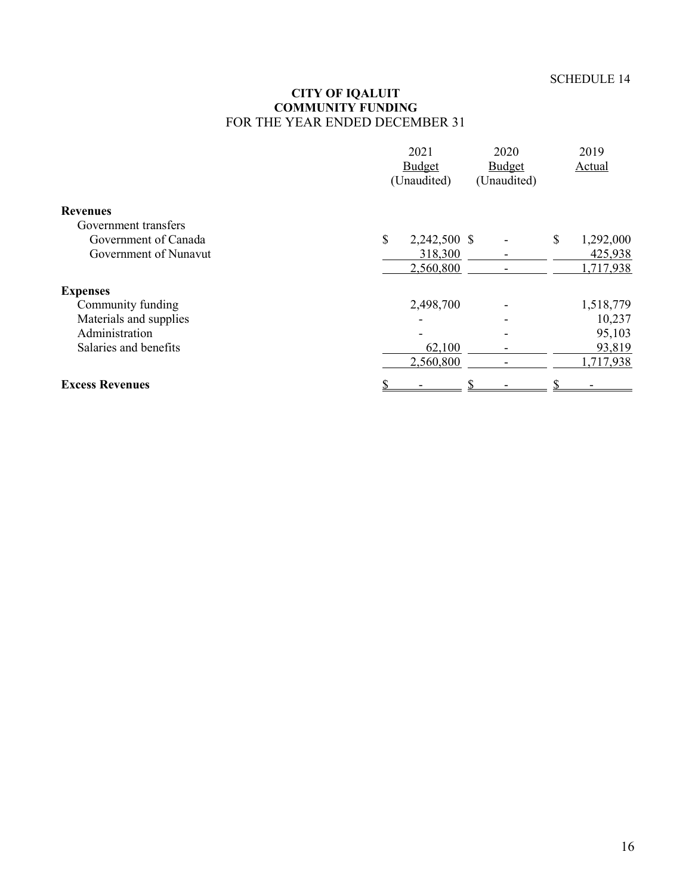#### **CITY OF IQALUIT COMMUNITY FUNDING** FOR THE YEAR ENDED DECEMBER 31

|                        | 2021<br>Budget<br>(Unaudited) |  | 2019<br>Actual |           |
|------------------------|-------------------------------|--|----------------|-----------|
| <b>Revenues</b>        |                               |  |                |           |
| Government transfers   |                               |  |                |           |
| Government of Canada   | \$<br>2,242,500 \$            |  | \$             | 1,292,000 |
| Government of Nunavut  | 318,300                       |  |                | 425,938   |
|                        | 2,560,800                     |  |                | 1,717,938 |
| <b>Expenses</b>        |                               |  |                |           |
| Community funding      | 2,498,700                     |  |                | 1,518,779 |
| Materials and supplies |                               |  |                | 10,237    |
| Administration         |                               |  |                | 95,103    |
| Salaries and benefits  | 62,100                        |  |                | 93,819    |
|                        | 2,560,800                     |  |                | 1,717,938 |
| <b>Excess Revenues</b> |                               |  |                |           |